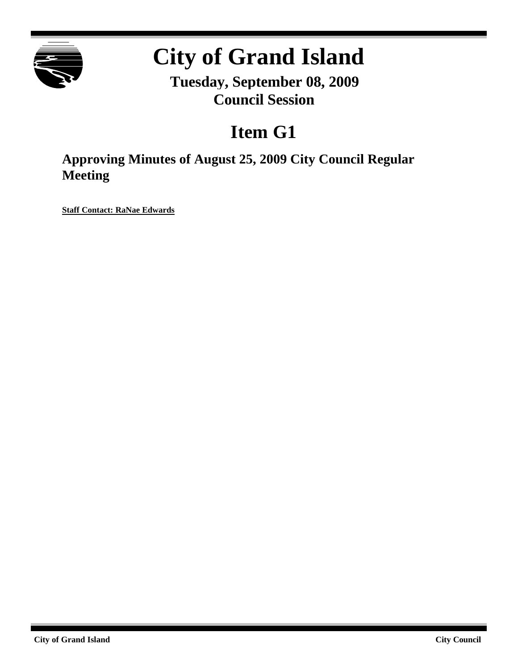

# **City of Grand Island**

**Tuesday, September 08, 2009 Council Session**

# **Item G1**

**Approving Minutes of August 25, 2009 City Council Regular Meeting**

**Staff Contact: RaNae Edwards**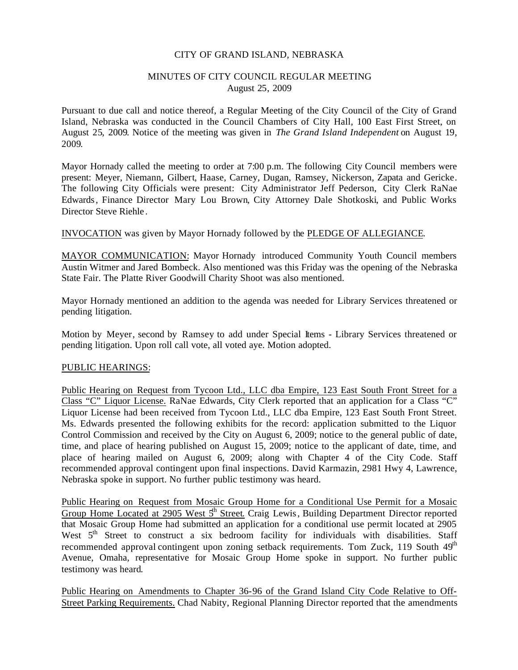## CITY OF GRAND ISLAND, NEBRASKA

# MINUTES OF CITY COUNCIL REGULAR MEETING August 25, 2009

Pursuant to due call and notice thereof, a Regular Meeting of the City Council of the City of Grand Island, Nebraska was conducted in the Council Chambers of City Hall, 100 East First Street, on August 25, 2009. Notice of the meeting was given in *The Grand Island Independent* on August 19, 2009.

Mayor Hornady called the meeting to order at 7:00 p.m. The following City Council members were present: Meyer, Niemann, Gilbert, Haase, Carney, Dugan, Ramsey, Nickerson, Zapata and Gericke. The following City Officials were present: City Administrator Jeff Pederson, City Clerk RaNae Edwards, Finance Director Mary Lou Brown, City Attorney Dale Shotkoski, and Public Works Director Steve Riehle .

INVOCATION was given by Mayor Hornady followed by the PLEDGE OF ALLEGIANCE.

MAYOR COMMUNICATION: Mayor Hornady introduced Community Youth Council members Austin Witmer and Jared Bombeck. Also mentioned was this Friday was the opening of the Nebraska State Fair. The Platte River Goodwill Charity Shoot was also mentioned.

Mayor Hornady mentioned an addition to the agenda was needed for Library Services threatened or pending litigation.

Motion by Meyer, second by Ramsey to add under Special Items - Library Services threatened or pending litigation. Upon roll call vote, all voted aye. Motion adopted.

# PUBLIC HEARINGS:

Public Hearing on Request from Tycoon Ltd., LLC dba Empire, 123 East South Front Street for a Class "C" Liquor License. RaNae Edwards, City Clerk reported that an application for a Class "C" Liquor License had been received from Tycoon Ltd., LLC dba Empire, 123 East South Front Street. Ms. Edwards presented the following exhibits for the record: application submitted to the Liquor Control Commission and received by the City on August 6, 2009; notice to the general public of date, time, and place of hearing published on August 15, 2009; notice to the applicant of date, time, and place of hearing mailed on August 6, 2009; along with Chapter 4 of the City Code. Staff recommended approval contingent upon final inspections. David Karmazin, 2981 Hwy 4, Lawrence, Nebraska spoke in support. No further public testimony was heard.

Public Hearing on Request from Mosaic Group Home for a Conditional Use Permit for a Mosaic Group Home Located at 2905 West 5<sup>th</sup> Street. Craig Lewis, Building Department Director reported that Mosaic Group Home had submitted an application for a conditional use permit located at 2905 West 5<sup>th</sup> Street to construct a six bedroom facility for individuals with disabilities. Staff recommended approval contingent upon zoning setback requirements. Tom Zuck, 119 South 49<sup>th</sup> Avenue, Omaha, representative for Mosaic Group Home spoke in support. No further public testimony was heard.

Public Hearing on Amendments to Chapter 36-96 of the Grand Island City Code Relative to Off-Street Parking Requirements. Chad Nabity, Regional Planning Director reported that the amendments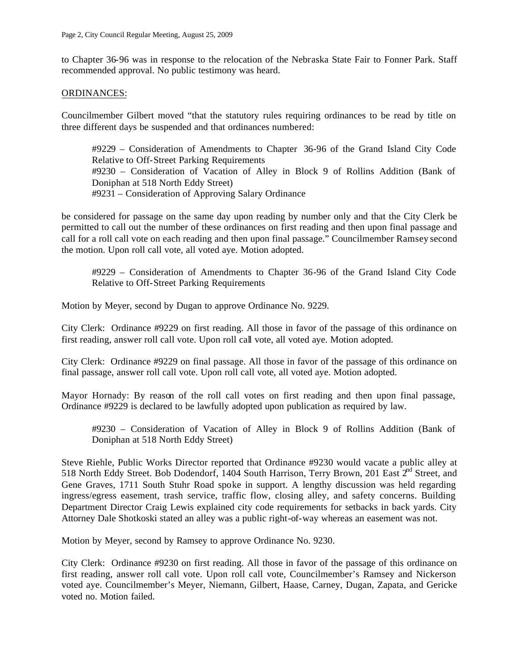to Chapter 36-96 was in response to the relocation of the Nebraska State Fair to Fonner Park. Staff recommended approval. No public testimony was heard.

## ORDINANCES:

Councilmember Gilbert moved "that the statutory rules requiring ordinances to be read by title on three different days be suspended and that ordinances numbered:

#9229 – Consideration of Amendments to Chapter 36-96 of the Grand Island City Code Relative to Off-Street Parking Requirements #9230 – Consideration of Vacation of Alley in Block 9 of Rollins Addition (Bank of Doniphan at 518 North Eddy Street) #9231 – Consideration of Approving Salary Ordinance

be considered for passage on the same day upon reading by number only and that the City Clerk be permitted to call out the number of these ordinances on first reading and then upon final passage and call for a roll call vote on each reading and then upon final passage." Councilmember Ramsey second the motion. Upon roll call vote, all voted aye. Motion adopted.

#9229 – Consideration of Amendments to Chapter 36-96 of the Grand Island City Code Relative to Off-Street Parking Requirements

Motion by Meyer, second by Dugan to approve Ordinance No. 9229.

City Clerk: Ordinance #9229 on first reading. All those in favor of the passage of this ordinance on first reading, answer roll call vote. Upon roll call vote, all voted aye. Motion adopted.

City Clerk: Ordinance #9229 on final passage. All those in favor of the passage of this ordinance on final passage, answer roll call vote. Upon roll call vote, all voted aye. Motion adopted.

Mayor Hornady: By reason of the roll call votes on first reading and then upon final passage, Ordinance #9229 is declared to be lawfully adopted upon publication as required by law.

#9230 – Consideration of Vacation of Alley in Block 9 of Rollins Addition (Bank of Doniphan at 518 North Eddy Street)

Steve Riehle, Public Works Director reported that Ordinance #9230 would vacate a public alley at 518 North Eddy Street. Bob Dodendorf, 1404 South Harrison, Terry Brown, 201 East 2<sup>nd</sup> Street, and Gene Graves, 1711 South Stuhr Road spoke in support. A lengthy discussion was held regarding ingress/egress easement, trash service, traffic flow, closing alley, and safety concerns. Building Department Director Craig Lewis explained city code requirements for setbacks in back yards. City Attorney Dale Shotkoski stated an alley was a public right-of-way whereas an easement was not.

Motion by Meyer, second by Ramsey to approve Ordinance No. 9230.

City Clerk: Ordinance #9230 on first reading. All those in favor of the passage of this ordinance on first reading, answer roll call vote. Upon roll call vote, Councilmember's Ramsey and Nickerson voted aye. Councilmember's Meyer, Niemann, Gilbert, Haase, Carney, Dugan, Zapata, and Gericke voted no. Motion failed.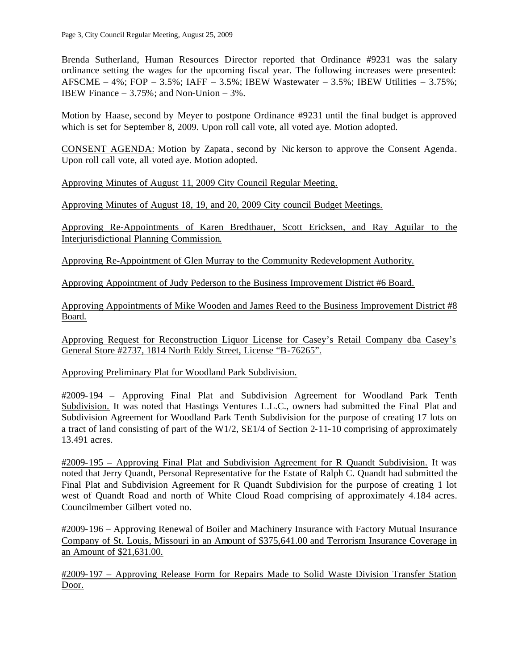Brenda Sutherland, Human Resources Director reported that Ordinance #9231 was the salary ordinance setting the wages for the upcoming fiscal year. The following increases were presented: AFSCME –  $4\%$ ; FOP –  $3.5\%$ ; IAFF –  $3.5\%$ ; IBEW Wastewater –  $3.5\%$ ; IBEW Utilities –  $3.75\%$ ; IBEW Finance  $-3.75\%$ ; and Non-Union  $-3\%$ .

Motion by Haase, second by Meyer to postpone Ordinance #9231 until the final budget is approved which is set for September 8, 2009. Upon roll call vote, all voted aye. Motion adopted.

CONSENT AGENDA: Motion by Zapata , second by Nic kerson to approve the Consent Agenda. Upon roll call vote, all voted aye. Motion adopted.

Approving Minutes of August 11, 2009 City Council Regular Meeting.

Approving Minutes of August 18, 19, and 20, 2009 City council Budget Meetings.

Approving Re-Appointments of Karen Bredthauer, Scott Ericksen, and Ray Aguilar to the Interjurisdictional Planning Commission.

Approving Re-Appointment of Glen Murray to the Community Redevelopment Authority.

Approving Appointment of Judy Pederson to the Business Improvement District #6 Board.

Approving Appointments of Mike Wooden and James Reed to the Business Improvement District #8 Board.

Approving Request for Reconstruction Liquor License for Casey's Retail Company dba Casey's General Store #2737, 1814 North Eddy Street, License "B-76265".

Approving Preliminary Plat for Woodland Park Subdivision.

#2009-194 – Approving Final Plat and Subdivision Agreement for Woodland Park Tenth Subdivision. It was noted that Hastings Ventures L.L.C., owners had submitted the Final Plat and Subdivision Agreement for Woodland Park Tenth Subdivision for the purpose of creating 17 lots on a tract of land consisting of part of the W1/2,  $\text{SE1}/4$  of Section 2-11-10 comprising of approximately 13.491 acres.

#2009-195 – Approving Final Plat and Subdivision Agreement for R Quandt Subdivision. It was noted that Jerry Quandt, Personal Representative for the Estate of Ralph C. Quandt had submitted the Final Plat and Subdivision Agreement for R Quandt Subdivision for the purpose of creating 1 lot west of Quandt Road and north of White Cloud Road comprising of approximately 4.184 acres. Councilmember Gilbert voted no.

#2009-196 – Approving Renewal of Boiler and Machinery Insurance with Factory Mutual Insurance Company of St. Louis, Missouri in an Amount of \$375,641.00 and Terrorism Insurance Coverage in an Amount of \$21,631.00.

#2009-197 – Approving Release Form for Repairs Made to Solid Waste Division Transfer Station Door.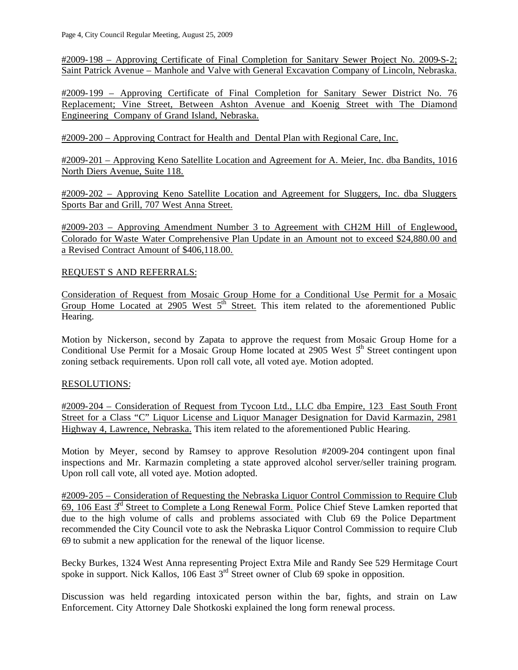#2009-198 – Approving Certificate of Final Completion for Sanitary Sewer Project No. 2009-S-2; Saint Patrick Avenue – Manhole and Valve with General Excavation Company of Lincoln, Nebraska.

#2009-199 – Approving Certificate of Final Completion for Sanitary Sewer District No. 76 Replacement; Vine Street, Between Ashton Avenue and Koenig Street with The Diamond Engineering Company of Grand Island, Nebraska.

#2009-200 – Approving Contract for Health and Dental Plan with Regional Care, Inc.

#2009-201 – Approving Keno Satellite Location and Agreement for A. Meier, Inc. dba Bandits, 1016 North Diers Avenue, Suite 118.

#2009-202 – Approving Keno Satellite Location and Agreement for Sluggers, Inc. dba Sluggers Sports Bar and Grill, 707 West Anna Street.

#2009-203 – Approving Amendment Number 3 to Agreement with CH2M Hill of Englewood, Colorado for Waste Water Comprehensive Plan Update in an Amount not to exceed \$24,880.00 and a Revised Contract Amount of \$406,118.00.

# REQUEST S AND REFERRALS:

Consideration of Request from Mosaic Group Home for a Conditional Use Permit for a Mosaic Group Home Located at 2905 West 5<sup>th</sup> Street. This item related to the aforementioned Public Hearing.

Motion by Nickerson, second by Zapata to approve the request from Mosaic Group Home for a Conditional Use Permit for a Mosaic Group Home located at 2905 West  $5<sup>th</sup>$  Street contingent upon zoning setback requirements. Upon roll call vote, all voted aye. Motion adopted.

# RESOLUTIONS:

#2009-204 – Consideration of Request from Tycoon Ltd., LLC dba Empire, 123 East South Front Street for a Class "C" Liquor License and Liquor Manager Designation for David Karmazin, 2981 Highway 4, Lawrence, Nebraska. This item related to the aforementioned Public Hearing.

Motion by Meyer, second by Ramsey to approve Resolution #2009-204 contingent upon final inspections and Mr. Karmazin completing a state approved alcohol server/seller training program. Upon roll call vote, all voted aye. Motion adopted.

#2009-205 – Consideration of Requesting the Nebraska Liquor Control Commission to Require Club 69, 106 East  $3<sup>rd</sup>$  Street to Complete a Long Renewal Form. Police Chief Steve Lamken reported that due to the high volume of calls and problems associated with Club 69 the Police Department recommended the City Council vote to ask the Nebraska Liquor Control Commission to require Club 69 to submit a new application for the renewal of the liquor license.

Becky Burkes, 1324 West Anna representing Project Extra Mile and Randy See 529 Hermitage Court spoke in support. Nick Kallos, 106 East 3<sup>rd</sup> Street owner of Club 69 spoke in opposition.

Discussion was held regarding intoxicated person within the bar, fights, and strain on Law Enforcement. City Attorney Dale Shotkoski explained the long form renewal process.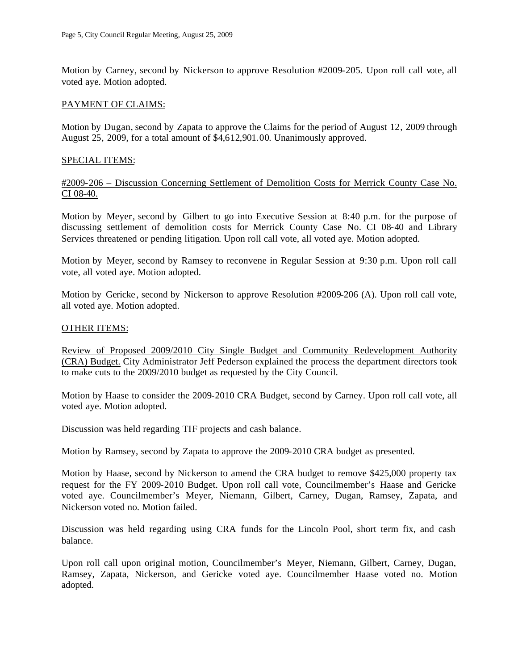Motion by Carney, second by Nickerson to approve Resolution #2009-205. Upon roll call vote, all voted aye. Motion adopted.

## PAYMENT OF CLAIMS:

Motion by Dugan, second by Zapata to approve the Claims for the period of August 12, 2009 through August 25, 2009, for a total amount of \$4,612,901.00. Unanimously approved.

#### SPECIAL ITEMS:

#2009-206 – Discussion Concerning Settlement of Demolition Costs for Merrick County Case No. CI 08-40.

Motion by Meyer, second by Gilbert to go into Executive Session at 8:40 p.m. for the purpose of discussing settlement of demolition costs for Merrick County Case No. CI 08-40 and Library Services threatened or pending litigation. Upon roll call vote, all voted aye. Motion adopted.

Motion by Meyer, second by Ramsey to reconvene in Regular Session at 9:30 p.m. Upon roll call vote, all voted aye. Motion adopted.

Motion by Gericke , second by Nickerson to approve Resolution #2009-206 (A). Upon roll call vote, all voted aye. Motion adopted.

#### OTHER ITEMS:

Review of Proposed 2009/2010 City Single Budget and Community Redevelopment Authority (CRA) Budget. City Administrator Jeff Pederson explained the process the department directors took to make cuts to the 2009/2010 budget as requested by the City Council.

Motion by Haase to consider the 2009-2010 CRA Budget, second by Carney. Upon roll call vote, all voted aye. Motion adopted.

Discussion was held regarding TIF projects and cash balance.

Motion by Ramsey, second by Zapata to approve the 2009-2010 CRA budget as presented.

Motion by Haase, second by Nickerson to amend the CRA budget to remove \$425,000 property tax request for the FY 2009-2010 Budget. Upon roll call vote, Councilmember's Haase and Gericke voted aye. Councilmember's Meyer, Niemann, Gilbert, Carney, Dugan, Ramsey, Zapata, and Nickerson voted no. Motion failed.

Discussion was held regarding using CRA funds for the Lincoln Pool, short term fix, and cash balance.

Upon roll call upon original motion, Councilmember's Meyer, Niemann, Gilbert, Carney, Dugan, Ramsey, Zapata, Nickerson, and Gericke voted aye. Councilmember Haase voted no. Motion adopted.